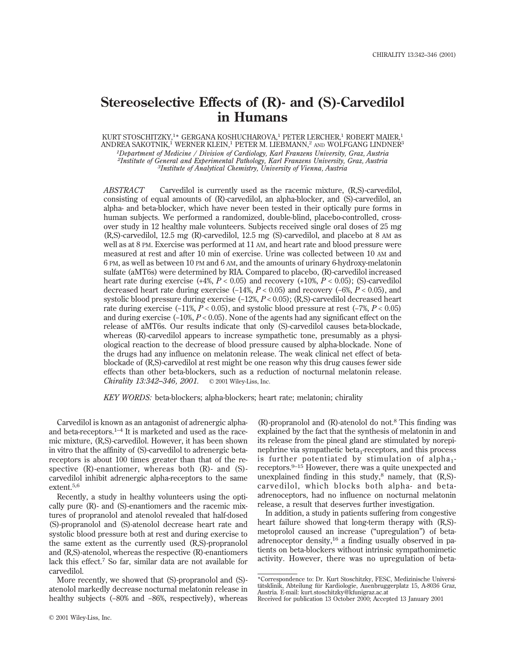# **Stereoselective Effects of (R)- and (S)-Carvedilol in Humans**

KURT STOSCHITZKY,<sup>1\*</sup> GERGANA KOSHUCHAROVA,<sup>1</sup> PETER LERCHER,<sup>1</sup> ROBERT MAIER,<sup>1</sup> ANDREA SAKOTNIK,<sup>1</sup> WERNER KLEIN,<sup>1</sup> PETER M. LIEBMANN,<sup>2</sup> AND WOLFGANG LINDNER<sup>3</sup> *1Department of Medicine / Division of Cardiology, Karl Franzens University, Graz, Austria 2Institute of General and Experimental Pathology, Karl Franzens University, Graz, Austria 3Institute of Analytical Chemistry, University of Vienna, Austria*

*ABSTRACT* Carvedilol is currently used as the racemic mixture, (R,S)-carvedilol, consisting of equal amounts of (R)-carvedilol, an alpha-blocker, and (S)-carvedilol, an alpha- and beta-blocker, which have never been tested in their optically pure forms in human subjects. We performed a randomized, double-blind, placebo-controlled, crossover study in 12 healthy male volunteers. Subjects received single oral doses of 25 mg (R,S)-carvedilol, 12.5 mg (R)-carvedilol, 12.5 mg (S)-carvedilol, and placebo at 8 AM as well as at 8 PM. Exercise was performed at 11 AM, and heart rate and blood pressure were measured at rest and after 10 min of exercise. Urine was collected between 10 AM and 6 PM, as well as between 10 PM and 6 AM, and the amounts of urinary 6-hydroxy-melatonin sulfate (aMT6s) were determined by RIA. Compared to placebo, (R)-carvedilol increased heart rate during exercise  $(+4\%, P < 0.05)$  and recovery  $(+10\%, P < 0.05)$ ; (S)-carvedilol decreased heart rate during exercise (−14%, *P* < 0.05) and recovery (−6%, *P* < 0.05), and systolic blood pressure during exercise  $(-12\%, P < 0.05)$ ; (R,S)-carvedilol decreased heart rate during exercise (−11%, *P* < 0.05), and systolic blood pressure at rest (−7%, *P* < 0.05) and during exercise (−10%, *P* < 0.05). None of the agents had any significant effect on the release of aMT6s. Our results indicate that only (S)-carvedilol causes beta-blockade, whereas (R)-carvedilol appears to increase sympathetic tone, presumably as a physiological reaction to the decrease of blood pressure caused by alpha-blockade. None of the drugs had any influence on melatonin release. The weak clinical net effect of betablockade of (R,S)-carvedilol at rest might be one reason why this drug causes fewer side effects than other beta-blockers, such as a reduction of nocturnal melatonin release. *Chirality 13:342–346, 2001.* © 2001 Wiley-Liss, Inc.

*KEY WORDS:* beta-blockers; alpha-blockers; heart rate; melatonin; chirality

Carvedilol is known as an antagonist of adrenergic alphaand beta-receptors. $1-4$  It is marketed and used as the racemic mixture, (R,S)-carvedilol. However, it has been shown in vitro that the affinity of (S)-carvedilol to adrenergic betareceptors is about 100 times greater than that of the respective (R)-enantiomer, whereas both (R)- and (S) carvedilol inhibit adrenergic alpha-receptors to the same extent.5,6

Recently, a study in healthy volunteers using the optically pure (R)- and (S)-enantiomers and the racemic mixtures of propranolol and atenolol revealed that half-dosed (S)-propranolol and (S)-atenolol decrease heart rate and systolic blood pressure both at rest and during exercise to the same extent as the currently used (R,S)-propranolol and (R,S)-atenolol, whereas the respective (R)-enantiomers lack this effect.<sup>7</sup> So far, similar data are not available for carvedilol.

More recently, we showed that (S)-propranolol and (S) atenolol markedly decrease nocturnal melatonin release in healthy subjects (−80% and −86%, respectively), whereas

 $(R)$ -propranolol and  $(R)$ -atenolol do not.<sup>8</sup> This finding was explained by the fact that the synthesis of melatonin in and its release from the pineal gland are stimulated by norepinephrine via sympathetic beta<sub>1</sub>-receptors, and this process is further potentiated by stimulation of alpha $_1$ receptors.9–15 However, there was a quite unexpected and unexplained finding in this study, $^8$  namely, that  $(R, S)$ carvedilol, which blocks both alpha- and betaadrenoceptors, had no influence on nocturnal melatonin release, a result that deserves further investigation.

In addition, a study in patients suffering from congestive heart failure showed that long-term therapy with (R,S) metoprolol caused an increase ("upregulation") of betaadrenoceptor density,<sup>16</sup> a finding usually observed in patients on beta-blockers without intrinsic sympathomimetic activity. However, there was no upregulation of beta-

<sup>\*</sup>Correspondence to: Dr. Kurt Stoschitzky, FESC, Medizinische Universitätsklinik, Abteilung für Kardiologie, Auenbruggerplatz 15, A-8036 Graz, Austria. E-mail: kurt.stoschitzky@kfunigraz.ac.at

Received for publication 13 October 2000; Accepted 13 January 2001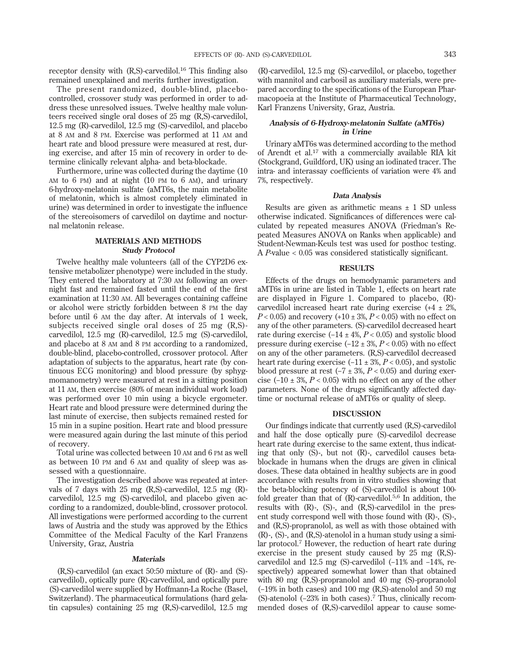receptor density with  $(R, S)$ -carvedilol.<sup>16</sup> This finding also remained unexplained and merits further investigation.

The present randomized, double-blind, placebocontrolled, crossover study was performed in order to address these unresolved issues. Twelve healthy male volunteers received single oral doses of 25 mg (R,S)-carvedilol, 12.5 mg (R)-carvedilol, 12.5 mg (S)-carvedilol, and placebo at 8 AM and 8 PM. Exercise was performed at 11 AM and heart rate and blood pressure were measured at rest, during exercise, and after 15 min of recovery in order to determine clinically relevant alpha- and beta-blockade.

Furthermore, urine was collected during the daytime (10 AM to 6 PM) and at night (10 PM to 6 AM), and urinary 6-hydroxy-melatonin sulfate (aMT6s, the main metabolite of melatonin, which is almost completely eliminated in urine) was determined in order to investigate the influence of the stereoisomers of carvedilol on daytime and nocturnal melatonin release.

## **MATERIALS AND METHODS Study Protocol**

Twelve healthy male volunteers (all of the CYP2D6 extensive metabolizer phenotype) were included in the study. They entered the laboratory at 7:30 AM following an overnight fast and remained fasted until the end of the first examination at 11:30 AM. All beverages containing caffeine or alcohol were strictly forbidden between 8 PM the day before until 6 AM the day after. At intervals of 1 week, subjects received single oral doses of 25 mg (R,S) carvedilol, 12.5 mg (R)-carvedilol, 12.5 mg (S)-carvedilol, and placebo at 8 AM and 8 PM according to a randomized, double-blind, placebo-controlled, crossover protocol. After adaptation of subjects to the apparatus, heart rate (by continuous ECG monitoring) and blood pressure (by sphygmomanometry) were measured at rest in a sitting position at 11 AM, then exercise (80% of mean individual work load) was performed over 10 min using a bicycle ergometer. Heart rate and blood pressure were determined during the last minute of exercise, then subjects remained rested for 15 min in a supine position. Heart rate and blood pressure were measured again during the last minute of this period of recovery.

Total urine was collected between 10 AM and 6 PM as well as between 10 PM and 6 AM and quality of sleep was assessed with a questionnaire.

The investigation described above was repeated at intervals of 7 days with 25 mg (R,S)-carvedilol, 12.5 mg (R) carvedilol, 12.5 mg (S)-carvedilol, and placebo given according to a randomized, double-blind, crossover protocol. All investigations were performed according to the current laws of Austria and the study was approved by the Ethics Committee of the Medical Faculty of the Karl Franzens University, Graz, Austria

#### **Materials**

(R,S)-carvedilol (an exact 50:50 mixture of (R)- and (S) carvedilol), optically pure (R)-carvedilol, and optically pure (S)-carvedilol were supplied by Hoffmann-La Roche (Basel, Switzerland). The pharmaceutical formulations (hard gelatin capsules) containing 25 mg (R,S)-carvedilol, 12.5 mg (R)-carvedilol, 12.5 mg (S)-carvedilol, or placebo, together with mannitol and carbosil as auxiliary materials, were prepared according to the specifications of the European Pharmacopoeia at the Institute of Pharmaceutical Technology, Karl Franzens University, Graz, Austria.

### **Analysis of 6-Hydroxy-melatonin Sulfate (aMT6s) in Urine**

Urinary aMT6s was determined according to the method of Arendt et al.<sup>17</sup> with a commercially available RIA kit (Stockgrand, Guildford, UK) using an iodinated tracer. The intra- and interassay coefficients of variation were 4% and 7%, respectively.

#### **Data Analysis**

Results are given as arithmetic means  $\pm$  1 SD unless otherwise indicated. Significances of differences were calculated by repeated measures ANOVA (Friedman's Repeated Measures ANOVA on Ranks when applicable) and Student-Newman-Keuls test was used for posthoc testing. A *P*-value < 0.05 was considered statistically significant.

#### **RESULTS**

Effects of the drugs on hemodynamic parameters and aMT6s in urine are listed in Table 1, effects on heart rate are displayed in Figure 1. Compared to placebo, (R) carvedilol increased heart rate during exercise  $(+4 \pm 2\%)$  $P < 0.05$ ) and recovery  $(+10 \pm 3\%, P < 0.05)$  with no effect on any of the other parameters. (S)-carvedilol decreased heart rate during exercise (−14 ± 4%, *P* < 0.05) and systolic blood pressure during exercise (−12 ± 3%, *P* < 0.05) with no effect on any of the other parameters. (R,S)-carvedilol decreased heart rate during exercise (−11 ± 3%, *P* < 0.05), and systolic blood pressure at rest  $(-7 \pm 3\%, P < 0.05)$  and during exercise  $(-10 \pm 3\%, P < 0.05)$  with no effect on any of the other parameters. None of the drugs significantly affected daytime or nocturnal release of aMT6s or quality of sleep.

#### **DISCUSSION**

Our findings indicate that currently used (R,S)-carvedilol and half the dose optically pure (S)-carvedilol decrease heart rate during exercise to the same extent, thus indicating that only (S)-, but not (R)-, carvedilol causes betablockade in humans when the drugs are given in clinical doses. These data obtained in healthy subjects are in good accordance with results from in vitro studies showing that the beta-blocking potency of (S)-carvedilol is about 100 fold greater than that of  $(R)$ -carvedilol.<sup>5,6</sup> In addition, the results with (R)-, (S)-, and (R,S)-carvedilol in the present study correspond well with those found with (R)-, (S)-, and (R,S)-propranolol, as well as with those obtained with (R)-, (S)-, and (R,S)-atenolol in a human study using a similar protocol.<sup>7</sup> However, the reduction of heart rate during exercise in the present study caused by 25 mg (R,S) carvedilol and 12.5 mg (S)-carvedilol (−11% and −14%, respectively) appeared somewhat lower than that obtained with 80 mg (R,S)-propranolol and 40 mg (S)-propranolol (−19% in both cases) and 100 mg (R,S)-atenolol and 50 mg (S)-atenolol (−23% in both cases).<sup>7</sup> Thus, clinically recommended doses of (R,S)-carvedilol appear to cause some-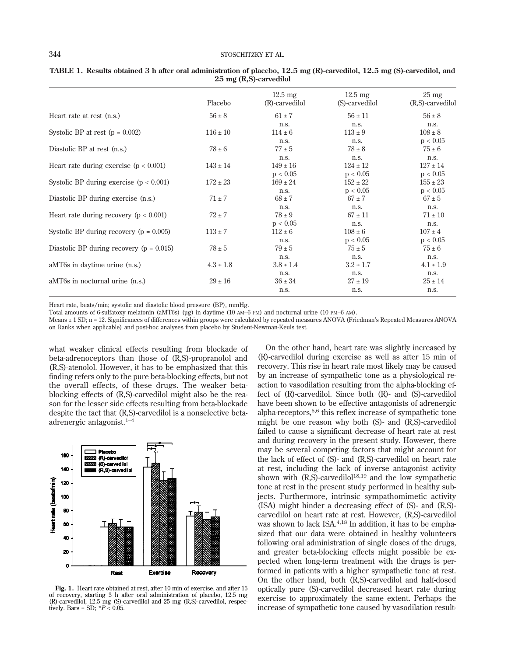|                                              | Placebo       | $12.5 \text{ mg}$<br>(R)-carvedilol | $12.5 \text{ mg}$<br>(S)-carvedilol | $25 \text{ mg}$<br>(R,S)-carvedilol |
|----------------------------------------------|---------------|-------------------------------------|-------------------------------------|-------------------------------------|
| Heart rate at rest (n.s.)                    | $56 \pm 8$    | $61 \pm 7$                          | $56 \pm 11$                         | $56 \pm 8$                          |
| Systolic BP at rest $(p = 0.002)$            | $116 \pm 10$  | n.s.<br>$114 \pm 6$                 | n.s.<br>$113 \pm 9$                 | n.s.<br>$108 \pm 8$                 |
|                                              |               | n.s.                                | n.s.                                | p < 0.05                            |
| Diastolic BP at rest (n.s.)                  | $78 \pm 6$    | $77 \pm 5$                          | $78 \pm 8$                          | $75 \pm 6$                          |
| Heart rate during exercise $(p < 0.001)$     | $143 \pm 14$  | n.s.<br>$149 \pm 16$<br>p < 0.05    | n.s.<br>$124 \pm 12$<br>p < 0.05    | n.s.<br>$127 \pm 14$<br>p < 0.05    |
| Systolic BP during exercise $(p < 0.001)$    | $172 \pm 23$  | $169 \pm 24$<br>n.s.                | $152 \pm 22$<br>p < 0.05            | $155 \pm 23$<br>p < 0.05            |
| Diastolic BP during exercise (n.s.)          | $71 \pm 7$    | $68 \pm 7$                          | $67 \pm 7$                          | $67 \pm 5$                          |
| Heart rate during recovery ( $p < 0.001$ )   | $72 \pm 7$    | n.s.<br>$78 \pm 9$<br>p < 0.05      | n.s.<br>$67 \pm 11$<br>n.s.         | n.s.<br>$71 \pm 10$<br>n.s.         |
| Systolic BP during recovery ( $p = 0.005$ )  | $113 \pm 7$   | $112 \pm 6$                         | $108 \pm 6$                         | $107 \pm 4$                         |
| Diastolic BP during recovery ( $p = 0.015$ ) | $78 \pm 5$    | n.s.<br>$79 \pm 5$                  | p < 0.05<br>$75 \pm 5$              | p < 0.05<br>$75 \pm 6$              |
| aMT6s in daytime urine (n.s.)                | $4.3 \pm 1.8$ | n.s.<br>$3.8 \pm 1.4$               | n.s.<br>$3.2 \pm 1.7$               | n.s.<br>$4.1 \pm 1.9$               |
| aMT6s in nocturnal urine (n.s.)              | $29 \pm 16$   | n.s.<br>$36 \pm 34$                 | n.s.<br>$27 \pm 19$                 | n.s.<br>$25 \pm 14$                 |
|                                              |               | n.s.                                | n.s.                                | n.s.                                |

**TABLE 1. Results obtained 3 h after oral administration of placebo, 12.5 mg (R)-carvedilol, 12.5 mg (S)-carvedilol, and 25 mg (R,S)-carvedilol**

Heart rate, beats/min; systolic and diastolic blood pressure (BP), mmHg.

Total amounts of 6-sulfatoxy melatonin (aMT6s) (µg) in daytime (10 AM–6 PM) and nocturnal urine (10 PM–6 AM).

Means ± 1 SD; n = 12. Significances of differences within groups were calculated by repeated measures ANOVA (Friedman's Repeated Measures ANOVA on Ranks when applicable) and post-hoc analyses from placebo by Student-Newman-Keuls test.

what weaker clinical effects resulting from blockade of beta-adrenoceptors than those of (R,S)-propranolol and (R,S)-atenolol. However, it has to be emphasized that this finding refers only to the pure beta-blocking effects, but not the overall effects, of these drugs. The weaker betablocking effects of (R,S)-carvedilol might also be the reason for the lesser side effects resulting from beta-blockade despite the fact that (R,S)-carvedilol is a nonselective betaadrenergic antagonist.1–4



**Fig. 1.** Heart rate obtained at rest, after 10 min of exercise, and after 15 of recovery, starting 3 h after oral administration of placebo, 12.5 mg (R)-carvedilol, 12.5 mg (S)-carvedilol and 25 mg (R,S)-carvedilol, respec-tively. Bars = SD; \**P* < 0.05.

On the other hand, heart rate was slightly increased by (R)-carvedilol during exercise as well as after 15 min of recovery. This rise in heart rate most likely may be caused by an increase of sympathetic tone as a physiological reaction to vasodilation resulting from the alpha-blocking effect of (R)-carvedilol. Since both (R)- and (S)-carvedilol have been shown to be effective antagonists of adrenergic alpha-receptors,5,6 this reflex increase of sympathetic tone might be one reason why both (S)- and (R,S)-carvedilol failed to cause a significant decrease of heart rate at rest and during recovery in the present study. However, there may be several competing factors that might account for the lack of effect of (S)- and (R,S)-carvedilol on heart rate at rest, including the lack of inverse antagonist activity shown with  $(R, S)$ -carvedilol<sup>18,19</sup> and the low sympathetic tone at rest in the present study performed in healthy subjects. Furthermore, intrinsic sympathomimetic activity (ISA) might hinder a decreasing effect of (S)- and (R,S) carvedilol on heart rate at rest. However, (R,S)-carvedilol was shown to lack ISA.4,18 In addition, it has to be emphasized that our data were obtained in healthy volunteers following oral administration of single doses of the drugs, and greater beta-blocking effects might possible be expected when long-term treatment with the drugs is performed in patients with a higher sympathetic tone at rest. On the other hand, both (R,S)-carvedilol and half-dosed optically pure (S)-carvedilol decreased heart rate during exercise to approximately the same extent. Perhaps the increase of sympathetic tone caused by vasodilation result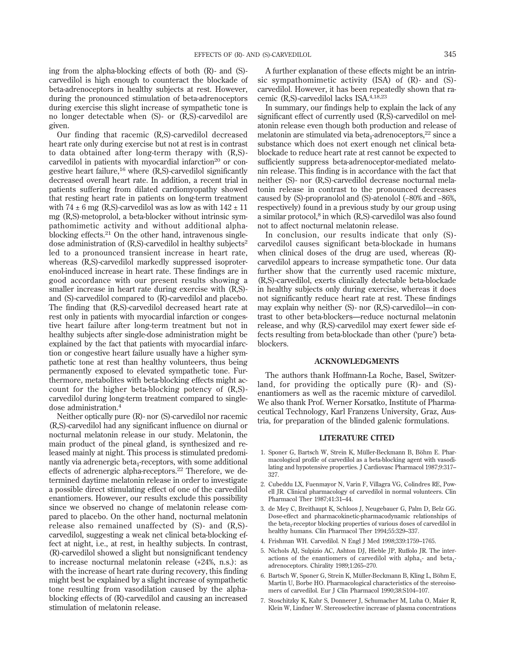ing from the alpha-blocking effects of both (R)- and (S) carvedilol is high enough to counteract the blockade of beta-adrenoceptors in healthy subjects at rest. However, during the pronounced stimulation of beta-adrenoceptors during exercise this slight increase of sympathetic tone is no longer detectable when (S)- or (R,S)-carvedilol are given.

Our finding that racemic (R,S)-carvedilol decreased heart rate only during exercise but not at rest is in contrast to data obtained after long-term therapy with (R,S) carvedilol in patients with myocardial infarction<sup>20</sup> or congestive heart failure,  $^{16}$  where  $(R, S)$ -carvedilol significantly decreased overall heart rate. In addition, a recent trial in patients suffering from dilated cardiomyopathy showed that resting heart rate in patients on long-term treatment with 74  $\pm$  6 mg (R,S)-carvedilol was as low as with 142  $\pm$  11 mg (R,S)-metoprolol, a beta-blocker without intrinsic sympathomimetic activity and without additional alphablocking effects. $21$  On the other hand, intravenous singledose administration of  $(R, S)$ -carvedilol in healthy subjects<sup>2</sup> led to a pronounced transient increase in heart rate, whereas (R,S)-carvedilol markedly suppressed isoproterenol-induced increase in heart rate. These findings are in good accordance with our present results showing a smaller increase in heart rate during exercise with (R,S) and (S)-carvedilol compared to (R)-carvedilol and placebo. The finding that (R,S)-carvedilol decreased heart rate at rest only in patients with myocardial infarction or congestive heart failure after long-term treatment but not in healthy subjects after single-dose administration might be explained by the fact that patients with myocardial infarction or congestive heart failure usually have a higher sympathetic tone at rest than healthy volunteers, thus being permanently exposed to elevated sympathetic tone. Furthermore, metabolites with beta-blocking effects might account for the higher beta-blocking potency of (R,S) carvedilol during long-term treatment compared to singledose administration.<sup>4</sup>

Neither optically pure (R)- nor (S)-carvedilol nor racemic (R,S)-carvedilol had any significant influence on diurnal or nocturnal melatonin release in our study. Melatonin, the main product of the pineal gland, is synthesized and released mainly at night. This process is stimulated predominantly via adrenergic beta<sub>1</sub>-receptors, with some additional effects of adrenergic alpha-receptors.<sup>22</sup> Therefore, we determined daytime melatonin release in order to investigate a possible direct stimulating effect of one of the carvedilol enantiomers. However, our results exclude this possibility since we observed no change of melatonin release compared to placebo. On the other hand, nocturnal melatonin release also remained unaffected by (S)- and (R,S) carvedilol, suggesting a weak net clinical beta-blocking effect at night, i.e., at rest, in healthy subjects. In contrast, (R)-carvedilol showed a slight but nonsignificant tendency to increase nocturnal melatonin release (+24%, n.s.): as with the increase of heart rate during recovery, this finding might best be explained by a slight increase of sympathetic tone resulting from vasodilation caused by the alphablocking effects of (R)-carvedilol and causing an increased stimulation of melatonin release.

A further explanation of these effects might be an intrinsic sympathomimetic activity (ISA) of (R)- and (S) carvedilol. However, it has been repeatedly shown that racemic (R,S)-carvedilol lacks ISA.4,18,23

In summary, our findings help to explain the lack of any significant effect of currently used (R,S)-carvedilol on melatonin release even though both production and release of melatonin are stimulated via beta<sub>1</sub>-adrenoceptors,  $22$  since a substance which does not exert enough net clinical betablockade to reduce heart rate at rest cannot be expected to sufficiently suppress beta-adrenoceptor-mediated melatonin release. This finding is in accordance with the fact that neither (S)- nor (R,S)-carvedilol decrease nocturnal melatonin release in contrast to the pronounced decreases caused by (S)-propranolol and (S)-atenolol (−80% and −86%, respectively) found in a previous study by our group using a similar protocol, $8$  in which  $(R, S)$ -carvedilol was also found not to affect nocturnal melatonin release.

In conclusion, our results indicate that only (S) carvedilol causes significant beta-blockade in humans when clinical doses of the drug are used, whereas (R) carvedilol appears to increase sympathetic tone. Our data further show that the currently used racemic mixture, (R,S)-carvedilol, exerts clinically detectable beta-blockade in healthy subjects only during exercise, whereas it does not significantly reduce heart rate at rest. These findings may explain why neither (S)- nor (R,S)-carvedilol—in contrast to other beta-blockers—reduce nocturnal melatonin release, and why (R,S)-carvedilol may exert fewer side effects resulting from beta-blockade than other ('pure') betablockers.

#### **ACKNOWLEDGMENTS**

The authors thank Hoffmann-La Roche, Basel, Switzerland, for providing the optically pure (R)- and (S) enantiomers as well as the racemic mixture of carvedilol. We also thank Prof. Werner Korsatko, Institute of Pharmaceutical Technology, Karl Franzens University, Graz, Austria, for preparation of the blinded galenic formulations.

#### **LITERATURE CITED**

- 1. Sponer G, Bartsch W, Strein K, Müller-Beckmann B, Böhm E. Pharmacological profile of carvedilol as a beta-blocking agent with vasodilating and hypotensive properties. J Cardiovasc Pharmacol 1987;9:317– 327.
- 2. Cubeddu LX, Fuenmayor N, Varin F, Villagra VG, Colindres RE, Powell JR. Clinical pharmacology of carvedilol in normal volunteers. Clin Pharmacol Ther 1987;41:31–44.
- 3. de Mey C, Breithaupt K, Schloos J, Neugebauer G, Palm D, Belz GG. Dose-effect and pharmacokinetic-pharmacodynamic relationships of the beta<sub>1</sub>-receptor blocking properties of various doses of carvedilol in healthy humans. Clin Pharmacol Ther 1994;55:329–337.
- 4. Frishman WH. Carvedilol. N Engl J Med 1998;339:1759–1765.
- 5. Nichols AJ, Sulpizio AC, Ashton DJ, Hieble JP, Ruffolo JR. The interactions of the enantiomers of carvedilol with alpha<sub>1</sub>- and beta<sub>1</sub>adrenoceptors. Chirality 1989;1:265–270.
- 6. Bartsch W, Sponer G, Strein K, Müller-Beckmann B, Kling L, Böhm E, Martin U, Borbe HO. Pharmacological characteristics of the stereoisomers of carvedilol. Eur J Clin Pharmacol 1990;38:S104–107.
- 7. Stoschitzky K, Kahr S, Donnerer J, Schumacher M, Luha O, Maier R, Klein W, Lindner W. Stereoselective increase of plasma concentrations